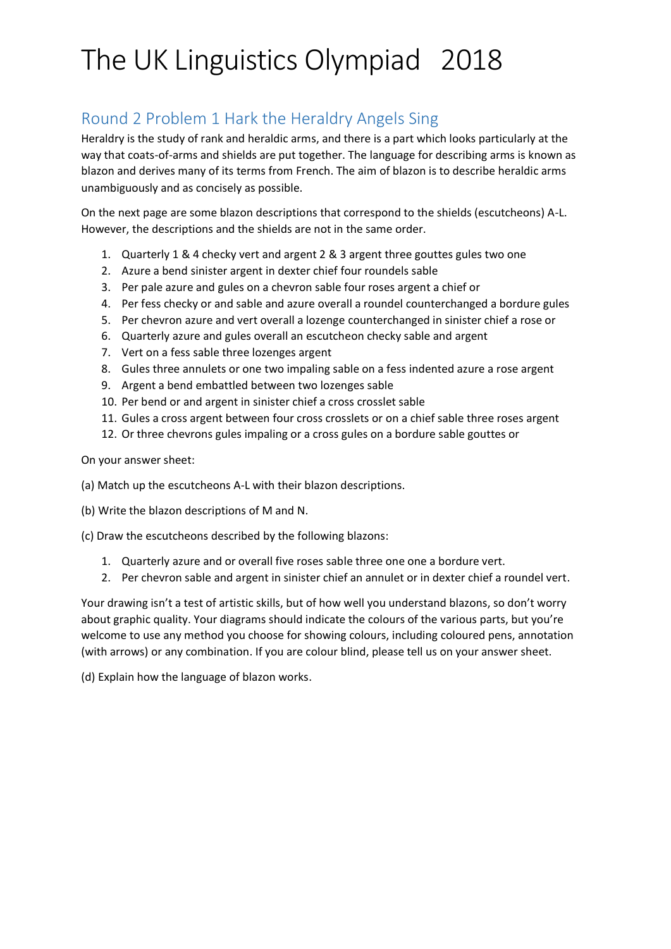### Round 2 Problem 1 Hark the Heraldry Angels Sing

Heraldry is the study of rank and heraldic arms, and there is a part which looks particularly at the way that coats-of-arms and shields are put together. The language for describing arms is known as blazon and derives many of its terms from French. The aim of blazon is to describe heraldic arms unambiguously and as concisely as possible.

On the next page are some blazon descriptions that correspond to the shields (escutcheons) A-L. However, the descriptions and the shields are not in the same order.

- 1. Quarterly 1 & 4 checky vert and argent 2 & 3 argent three gouttes gules two one
- 2. Azure a bend sinister argent in dexter chief four roundels sable
- 3. Per pale azure and gules on a chevron sable four roses argent a chief or
- 4. Per fess checky or and sable and azure overall a roundel counterchanged a bordure gules
- 5. Per chevron azure and vert overall a lozenge counterchanged in sinister chief a rose or
- 6. Quarterly azure and gules overall an escutcheon checky sable and argent
- 7. Vert on a fess sable three lozenges argent
- 8. Gules three annulets or one two impaling sable on a fess indented azure a rose argent
- 9. Argent a bend embattled between two lozenges sable
- 10. Per bend or and argent in sinister chief a cross crosslet sable
- 11. Gules a cross argent between four cross crosslets or on a chief sable three roses argent
- 12. Or three chevrons gules impaling or a cross gules on a bordure sable gouttes or

On your answer sheet:

- (a) Match up the escutcheons A-L with their blazon descriptions.
- (b) Write the blazon descriptions of M and N.
- (c) Draw the escutcheons described by the following blazons:
	- 1. Quarterly azure and or overall five roses sable three one one a bordure vert.
	- 2. Per chevron sable and argent in sinister chief an annulet or in dexter chief a roundel vert.

Your drawing isn't a test of artistic skills, but of how well you understand blazons, so don't worry about graphic quality. Your diagrams should indicate the colours of the various parts, but you're welcome to use any method you choose for showing colours, including coloured pens, annotation (with arrows) or any combination. If you are colour blind, please tell us on your answer sheet.

(d) Explain how the language of blazon works.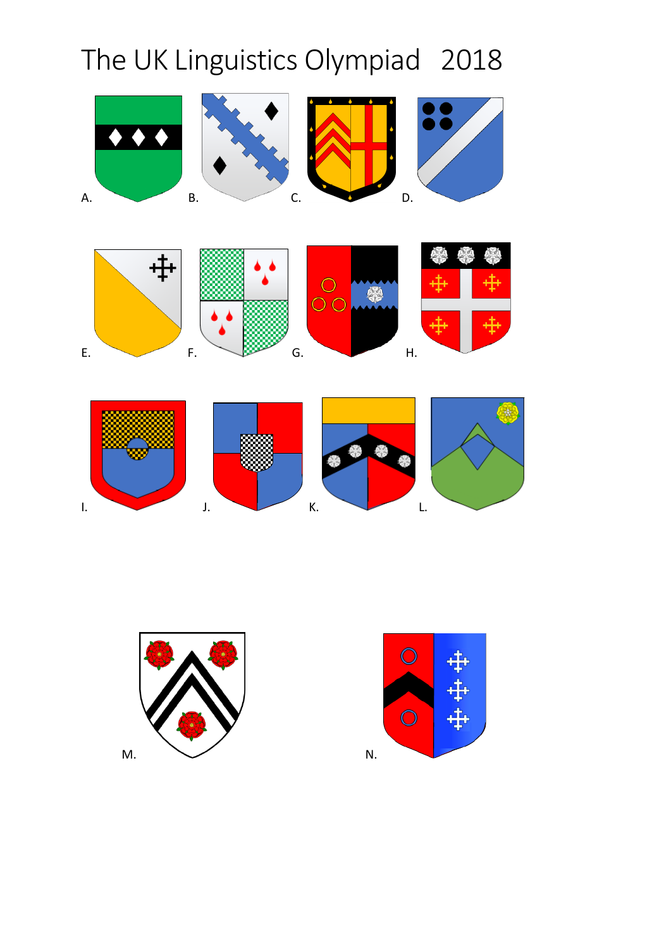



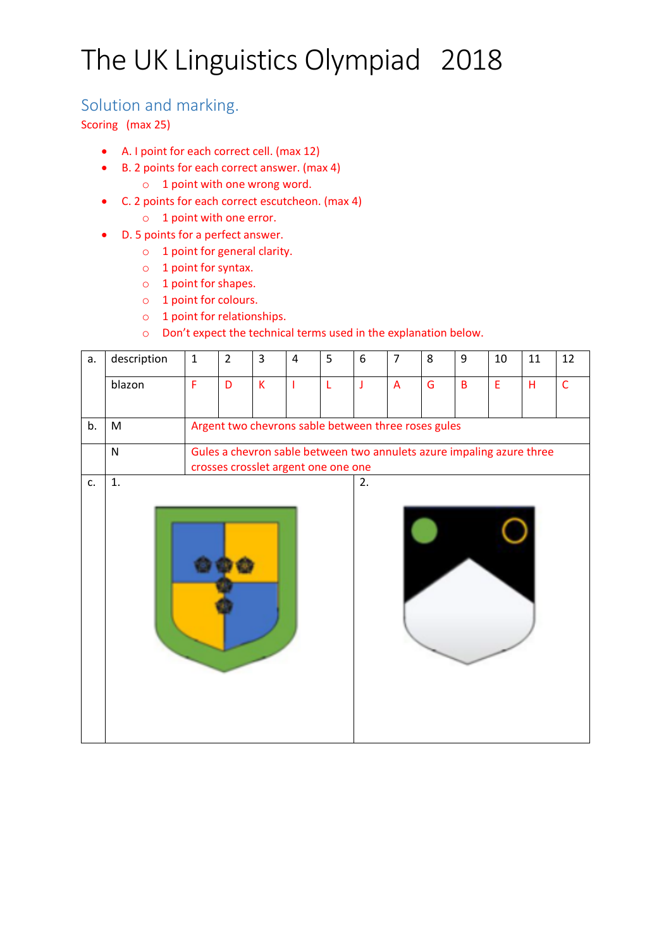### Solution and marking.

Scoring (max 25)

- A. I point for each correct cell. (max 12)
- B. 2 points for each correct answer. (max 4)
	- o 1 point with one wrong word.
- C. 2 points for each correct escutcheon. (max 4)
	- o 1 point with one error.
- D. 5 points for a perfect answer.
	- o 1 point for general clarity.
	- o 1 point for syntax.
	- o 1 point for shapes.
	- o 1 point for colours.
	- o 1 point for relationships.
	- o Don't expect the technical terms used in the explanation below.

| a. | description | $\mathbf{1}$                                                                                                 | $\overline{2}$ | 3                       | 4 | 5 | 6  | $\overline{7}$ | 8 | 9 | 10 | 11 | 12             |
|----|-------------|--------------------------------------------------------------------------------------------------------------|----------------|-------------------------|---|---|----|----------------|---|---|----|----|----------------|
|    | blazon      | F                                                                                                            | D              | $\overline{\mathsf{K}}$ |   | L | J  | $\overline{A}$ | G | B | E  | H  | $\overline{C}$ |
| b. | M           | Argent two chevrons sable between three roses gules                                                          |                |                         |   |   |    |                |   |   |    |    |                |
|    | ${\sf N}$   | Gules a chevron sable between two annulets azure impaling azure three<br>crosses crosslet argent one one one |                |                         |   |   |    |                |   |   |    |    |                |
| c. | 1.          |                                                                                                              |                |                         |   |   | 2. |                |   |   |    |    |                |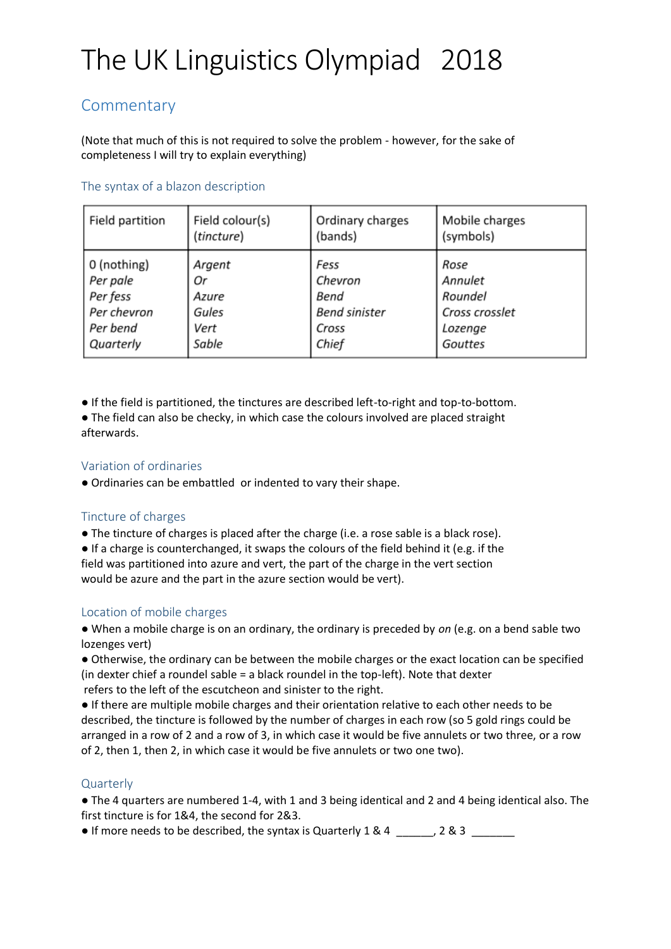### **Commentary**

(Note that much of this is not required to solve the problem - however, for the sake of completeness I will try to explain everything)

#### The syntax of a blazon description

| Field partition | Field colour(s) | Ordinary charges     | Mobile charges |
|-----------------|-----------------|----------------------|----------------|
|                 | (tincture)      | (bands)              | (symbols)      |
| 0 (nothing)     | Argent          | Fess                 | Rose           |
| Per pale        | Оr              | Chevron              | Annulet        |
| Per fess        | Azure           | Bend                 | Roundel        |
| Per chevron     | Gules           | <b>Bend sinister</b> | Cross crosslet |
| Per bend        | Vert            | Cross                | Lozenge        |
| Quarterly       | Sable           | Chief                | Gouttes        |

● If the field is partitioned, the tinctures are described left-to-right and top-to-bottom.

● The field can also be checky, in which case the colours involved are placed straight afterwards.

#### Variation of ordinaries

● Ordinaries can be embattled or indented to vary their shape.

#### Tincture of charges

● The tincture of charges is placed after the charge (i.e. a rose sable is a black rose).

● If a charge is counterchanged, it swaps the colours of the field behind it (e.g. if the field was partitioned into azure and vert, the part of the charge in the vert section would be azure and the part in the azure section would be vert).

#### Location of mobile charges

● When a mobile charge is on an ordinary, the ordinary is preceded by *on* (e.g. on a bend sable two lozenges vert)

● Otherwise, the ordinary can be between the mobile charges or the exact location can be specified (in dexter chief a roundel sable = a black roundel in the top-left). Note that dexter refers to the left of the escutcheon and sinister to the right.

● If there are multiple mobile charges and their orientation relative to each other needs to be described, the tincture is followed by the number of charges in each row (so 5 gold rings could be arranged in a row of 2 and a row of 3, in which case it would be five annulets or two three, or a row of 2, then 1, then 2, in which case it would be five annulets or two one two).

#### **Quarterly**

● The 4 quarters are numbered 1-4, with 1 and 3 being identical and 2 and 4 being identical also. The first tincture is for 1&4, the second for 2&3.

 $\bullet$  If more needs to be described, the syntax is Quarterly 1 & 4  $\_\_\_\_\_\_$  2 & 3  $\_\_\_\_\_\_\_\_$